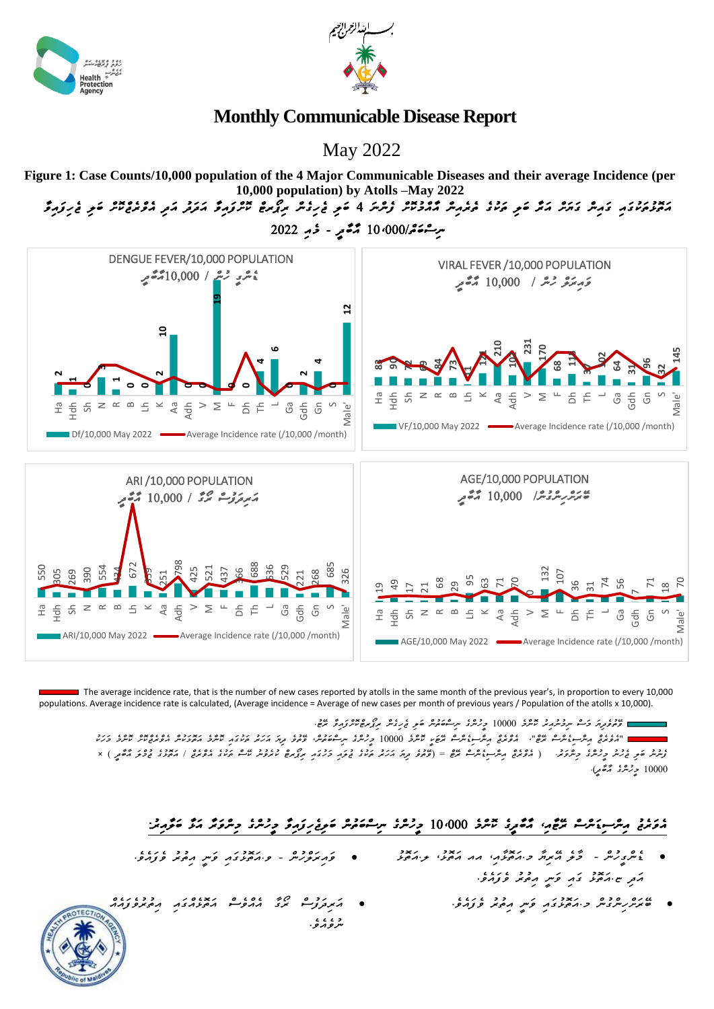

운

ર્જા z  $\sim$  $\infty$  Lh  $\check{ }$ 



## **Monthly Communicable Disease Report**

May 2022

**Figure 1: Case Counts/10,000 population of the 4 Major Communicable Diseases and their average Incidence (per 10,000 population) by Atolls –May 2022**

*އަތޮޅުތަކުގައި ގައިން ގަޔަށް އަރާ ބަލި ތަކުގެ ތެރެއިން އާއްމުކޮށް ފެންނަ 4 ބަލި ޖެހިގެން ރިޕޯރޓް ކޮށްފައިވާ އަދަދު އަދި އެވްރެޖްކޮށް ބަލި ޖެހިފައިވާ* 



들<br>모 Aa Adh ဖီ နွံ ဖိ Male' ARI/10,000 May 2022 **Average Incidence rate (/10,000 /month)** 두<br>모 Sh N R B Lh K Aa Adh V M FAGE/10,000 May 2022 Average Incidence rate (/10,000 /month)

그 좀  $\equiv$ 

 $>$   $\geq$ LL.

 populations. Average incidence rate is calculated, (Average incidence = Average of new cases per month of previous years / Population of the atolls x 10,000). The average incidence rate, that is the number of new cases reported by atolls in the same month of the previous year's, in proportion to every 10,000

S

<del>َ ﻣِﻣِﻳ</del>َﺘِﻣِﻳُُّﻣِﻣِﻣِﻳُّﺮِ ﮐِﻣَـُّ ﺳِﺮِﻣُّﺮُّﺮِﻳِّﺮِ ﻣَﺘُّﺮُّ 10000 ﻭ ﻳِﺭْﻳُﺮْ ﺳِﺮِﻣُّﻮَﻫُ ﺑُﺮَّ ﻣَﺮَّគِ ﻣَﻴ ـ "الروبري برسر عبوره عبوه"، المولدي برهر عبوه عبوم حمود 10000 و دهره الروبره عبوبر بررد الروبر من دار المورد المورد المورد المورد المورد المورد المورد المورد المورد المورد المورد المورد المورد المورد المورد المورد المورد *ފެނުނު ބަލި ޖެހުނު މީހުންގެ މިންވަރ.ު ) އެވްރެޖް އިންސިޑެންސް ރޭޓް = )ވޭތުވެ ދިޔަ އަހަރު ތަކުގެ ޖުލައި މަހުގައި ރިޕޯރޓް ކުރެވުނު ކޭސް ތަކުގެ އެވްރެޖް / އަތޮޅުގެ ޖުމްލަ އާބާދީ (* × *10000 މީހުންގެ އާބާދީ(.*

Ha

 $E = 2$ 

S Male'

## مَوَمَنْ مِسْ مِسْءَسْ حُرَّمَ، مُعْمِرْ  $\tilde{\tau}$ رَوْدَ مِرْحَمَدْ سِنْعَمْشْ مَوِغْرِوَمِرْ وِسْرَوْ وِسْرَوْ مَرْحَمْد

- *ޑެންގީހުން - މާލެ އޭރިޔާ މ.އަތޮޅާއ،ި އއ އަތޮޅ،ު ލ.އަތޮޅު ވައިރަލްހުން - ވ.އަތޮޅުގައި ވަނީ އިތުރު ވެފައެވ.ެ އަދި ޏ.އަތޮޅު ގައި ވަނީ އިތުރު ވެފައެވ.ެ*
- *ބޭރަށްހިންގުން މ.އަތޮޅުގައި ވަނީ އިތުރު ވެފައެވ.ެ އަރިދަފުސް ރޯގާ އެއްވެސް އަތޮޅެއްގައި އިތުރުވެފައެއް*  **یز څرخو.**